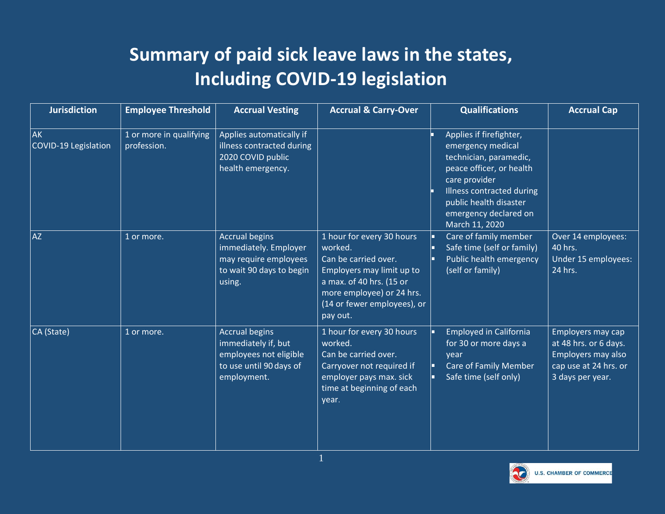## **Summary of paid sick leave laws in the states, Including COVID-19 legislation**

| <b>Jurisdiction</b>               | <b>Employee Threshold</b>              | <b>Accrual Vesting</b>                                                                                           | <b>Accrual &amp; Carry-Over</b>                                                                                                                                                               | <b>Qualifications</b>                                                                                                                                                                                                 | <b>Accrual Cap</b>                                                                                            |
|-----------------------------------|----------------------------------------|------------------------------------------------------------------------------------------------------------------|-----------------------------------------------------------------------------------------------------------------------------------------------------------------------------------------------|-----------------------------------------------------------------------------------------------------------------------------------------------------------------------------------------------------------------------|---------------------------------------------------------------------------------------------------------------|
| <b>AK</b><br>COVID-19 Legislation | 1 or more in qualifying<br>profession. | Applies automatically if<br>illness contracted during<br>2020 COVID public<br>health emergency.                  |                                                                                                                                                                                               | Applies if firefighter,<br>emergency medical<br>technician, paramedic,<br>peace officer, or health<br>care provider<br>Illness contracted during<br>public health disaster<br>emergency declared on<br>March 11, 2020 |                                                                                                               |
| <b>AZ</b>                         | 1 or more.                             | <b>Accrual begins</b><br>immediately. Employer<br>may require employees<br>to wait 90 days to begin<br>using.    | 1 hour for every 30 hours<br>worked.<br>Can be carried over.<br>Employers may limit up to<br>a max. of 40 hrs. (15 or<br>more employee) or 24 hrs.<br>(14 or fewer employees), or<br>pay out. | Care of family member<br>Safe time (self or family)<br>Public health emergency<br>(self or family)                                                                                                                    | Over 14 employees:<br>40 hrs.<br>Under 15 employees:<br>24 hrs.                                               |
| CA (State)                        | 1 or more.                             | <b>Accrual begins</b><br>immediately if, but<br>employees not eligible<br>to use until 90 days of<br>employment. | 1 hour for every 30 hours<br>worked.<br>Can be carried over.<br>Carryover not required if<br>employer pays max. sick<br>time at beginning of each<br>year.                                    | <b>Employed in California</b><br>for 30 or more days a<br>year<br><b>Care of Family Member</b><br>Safe time (self only)                                                                                               | Employers may cap<br>at 48 hrs. or 6 days.<br>Employers may also<br>cap use at 24 hrs. or<br>3 days per year. |

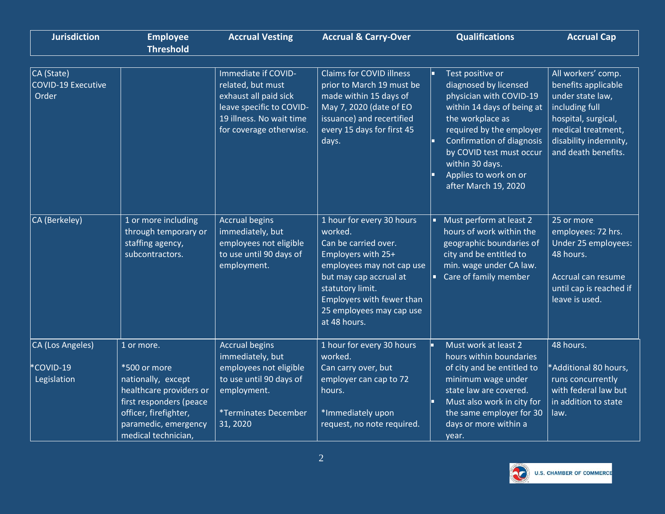| <b>Jurisdiction</b>                              | <b>Employee</b><br><b>Threshold</b>                                                                                                                                            | <b>Accrual Vesting</b>                                                                                                                               | <b>Accrual &amp; Carry-Over</b>                                                                                                                                                                                                        | <b>Qualifications</b>                                                                                                                                                                                                                                                           | <b>Accrual Cap</b>                                                                                                                                                           |
|--------------------------------------------------|--------------------------------------------------------------------------------------------------------------------------------------------------------------------------------|------------------------------------------------------------------------------------------------------------------------------------------------------|----------------------------------------------------------------------------------------------------------------------------------------------------------------------------------------------------------------------------------------|---------------------------------------------------------------------------------------------------------------------------------------------------------------------------------------------------------------------------------------------------------------------------------|------------------------------------------------------------------------------------------------------------------------------------------------------------------------------|
| CA (State)<br><b>COVID-19 Executive</b><br>Order |                                                                                                                                                                                | Immediate if COVID-<br>related, but must<br>exhaust all paid sick<br>leave specific to COVID-<br>19 illness. No wait time<br>for coverage otherwise. | <b>Claims for COVID illness</b><br>prior to March 19 must be<br>made within 15 days of<br>May 7, 2020 (date of EO<br>issuance) and recertified<br>every 15 days for first 45<br>days.                                                  | Test positive or<br>diagnosed by licensed<br>physician with COVID-19<br>within 14 days of being at<br>the workplace as<br>required by the employer<br>Confirmation of diagnosis<br>by COVID test must occur<br>within 30 days.<br>Applies to work on or<br>after March 19, 2020 | All workers' comp.<br>benefits applicable<br>under state law,<br>including full<br>hospital, surgical,<br>medical treatment,<br>disability indemnity,<br>and death benefits. |
| CA (Berkeley)                                    | 1 or more including<br>through temporary or<br>staffing agency,<br>subcontractors.                                                                                             | <b>Accrual begins</b><br>immediately, but<br>employees not eligible<br>to use until 90 days of<br>employment.                                        | 1 hour for every 30 hours<br>worked.<br>Can be carried over.<br>Employers with 25+<br>employees may not cap use<br>but may cap accrual at<br>statutory limit.<br>Employers with fewer than<br>25 employees may cap use<br>at 48 hours. | Must perform at least 2<br>hours of work within the<br>geographic boundaries of<br>city and be entitled to<br>min. wage under CA law.<br>Care of family member                                                                                                                  | 25 or more<br>employees: 72 hrs.<br>Under 25 employees:<br>48 hours.<br>Accrual can resume<br>until cap is reached if<br>leave is used.                                      |
| CA (Los Angeles)<br>*COVID-19<br>Legislation     | 1 or more.<br>*500 or more<br>nationally, except<br>healthcare providers or<br>first responders (peace<br>officer, firefighter,<br>paramedic, emergency<br>medical technician, | <b>Accrual begins</b><br>immediately, but<br>employees not eligible<br>to use until 90 days of<br>employment.<br>*Terminates December<br>31, 2020    | 1 hour for every 30 hours<br>worked.<br>Can carry over, but<br>employer can cap to 72<br>hours.<br>*Immediately upon<br>request, no note required.                                                                                     | Must work at least 2<br>hours within boundaries<br>of city and be entitled to<br>minimum wage under<br>state law are covered.<br>Must also work in city for<br>the same employer for 30<br>days or more within a<br>year.                                                       | 48 hours.<br>*Additional 80 hours,<br>runs concurrently<br>with federal law but<br>in addition to state<br>law.                                                              |

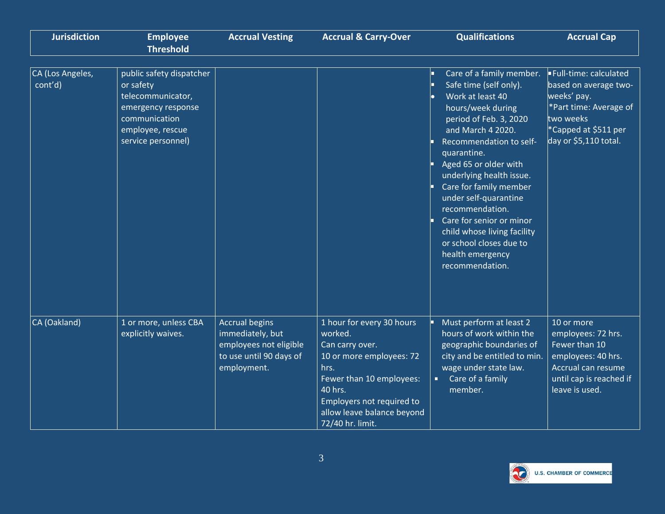| <b>Jurisdiction</b>         | <b>Employee</b><br><b>Threshold</b>                                                                                                         | <b>Accrual Vesting</b>                                                                                        | <b>Accrual &amp; Carry-Over</b>                                                                                                                                                                                   | <b>Qualifications</b>                                                                                                                                                                                                                                                                                                                                                                                                                        | <b>Accrual Cap</b>                                                                                                                                    |
|-----------------------------|---------------------------------------------------------------------------------------------------------------------------------------------|---------------------------------------------------------------------------------------------------------------|-------------------------------------------------------------------------------------------------------------------------------------------------------------------------------------------------------------------|----------------------------------------------------------------------------------------------------------------------------------------------------------------------------------------------------------------------------------------------------------------------------------------------------------------------------------------------------------------------------------------------------------------------------------------------|-------------------------------------------------------------------------------------------------------------------------------------------------------|
| CA (Los Angeles,<br>cont'd) | public safety dispatcher<br>or safety<br>telecommunicator,<br>emergency response<br>communication<br>employee, rescue<br>service personnel) |                                                                                                               |                                                                                                                                                                                                                   | Care of a family member.<br>Safe time (self only).<br>Work at least 40<br>hours/week during<br>period of Feb. 3, 2020<br>and March 4 2020.<br>Recommendation to self-<br>quarantine.<br>Aged 65 or older with<br>underlying health issue.<br>Care for family member<br>under self-quarantine<br>recommendation.<br>Care for senior or minor<br>child whose living facility<br>or school closes due to<br>health emergency<br>recommendation. | Full-time: calculated<br>based on average two-<br>weeks' pay.<br>*Part time: Average of<br>two weeks<br>*Capped at \$511 per<br>day or \$5,110 total. |
| CA (Oakland)                | 1 or more, unless CBA<br>explicitly waives.                                                                                                 | <b>Accrual begins</b><br>immediately, but<br>employees not eligible<br>to use until 90 days of<br>employment. | 1 hour for every 30 hours<br>worked.<br>Can carry over.<br>10 or more employees: 72<br>hrs.<br>Fewer than 10 employees:<br>40 hrs.<br>Employers not required to<br>allow leave balance beyond<br>72/40 hr. limit. | Must perform at least 2<br>hours of work within the<br>geographic boundaries of<br>city and be entitled to min.<br>wage under state law.<br>Care of a family<br>member.                                                                                                                                                                                                                                                                      | 10 or more<br>employees: 72 hrs.<br>Fewer than 10<br>employees: 40 hrs.<br>Accrual can resume<br>until cap is reached if<br>leave is used.            |

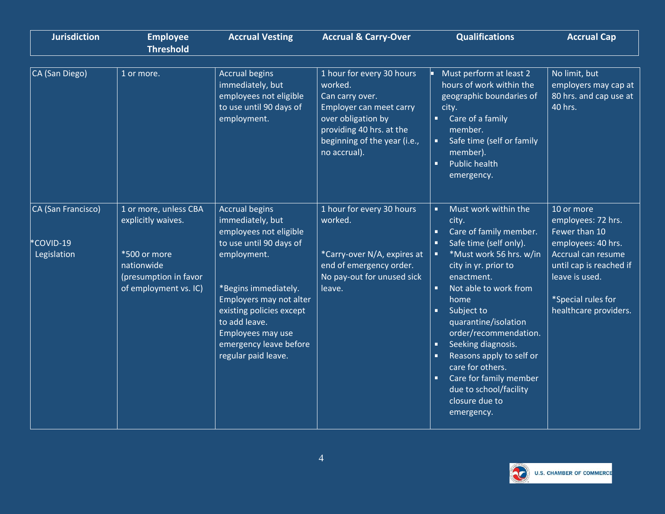| <b>Jurisdiction</b>                           | <b>Employee</b><br><b>Threshold</b>                                                                                         | <b>Accrual Vesting</b>                                                                                                                                                                                                                                                              | <b>Accrual &amp; Carry-Over</b>                                                                                                                                                      | <b>Qualifications</b>                                                                                                                                                                                                                                                                                                                                                                                                                                                                  | <b>Accrual Cap</b>                                                                                                                                                                        |
|-----------------------------------------------|-----------------------------------------------------------------------------------------------------------------------------|-------------------------------------------------------------------------------------------------------------------------------------------------------------------------------------------------------------------------------------------------------------------------------------|--------------------------------------------------------------------------------------------------------------------------------------------------------------------------------------|----------------------------------------------------------------------------------------------------------------------------------------------------------------------------------------------------------------------------------------------------------------------------------------------------------------------------------------------------------------------------------------------------------------------------------------------------------------------------------------|-------------------------------------------------------------------------------------------------------------------------------------------------------------------------------------------|
| CA (San Diego)                                | 1 or more.                                                                                                                  | <b>Accrual begins</b><br>immediately, but<br>employees not eligible<br>to use until 90 days of<br>employment.                                                                                                                                                                       | 1 hour for every 30 hours<br>worked.<br>Can carry over.<br>Employer can meet carry<br>over obligation by<br>providing 40 hrs. at the<br>beginning of the year (i.e.,<br>no accrual). | Must perform at least 2<br>hours of work within the<br>geographic boundaries of<br>city.<br>Care of a family<br>п<br>member.<br>Safe time (self or family<br>member).<br>×<br><b>Public health</b><br>emergency.                                                                                                                                                                                                                                                                       | No limit, but<br>employers may cap at<br>80 hrs. and cap use at<br>40 hrs.                                                                                                                |
| CA (San Francisco)<br>COVID-19<br>Legislation | 1 or more, unless CBA<br>explicitly waives.<br>*500 or more<br>nationwide<br>(presumption in favor<br>of employment vs. IC) | <b>Accrual begins</b><br>immediately, but<br>employees not eligible<br>to use until 90 days of<br>employment.<br>*Begins immediately.<br>Employers may not alter<br>existing policies except<br>to add leave.<br>Employees may use<br>emergency leave before<br>regular paid leave. | 1 hour for every 30 hours<br>worked.<br>*Carry-over N/A, expires at<br>end of emergency order.<br>No pay-out for unused sick<br>leave.                                               | Must work within the<br>п<br>city.<br>Care of family member.<br>п<br>Safe time (self only).<br>*Must work 56 hrs. w/in<br>п<br>city in yr. prior to<br>enactment.<br>$\blacksquare$<br>Not able to work from<br>home<br>Subject to<br>$\blacksquare$<br>quarantine/isolation<br>order/recommendation.<br>Seeking diagnosis.<br>п<br>Reasons apply to self or<br>care for others.<br>$\blacksquare$<br>Care for family member<br>due to school/facility<br>closure due to<br>emergency. | 10 or more<br>employees: 72 hrs.<br>Fewer than 10<br>employees: 40 hrs.<br>Accrual can resume<br>until cap is reached if<br>leave is used.<br>*Special rules for<br>healthcare providers. |

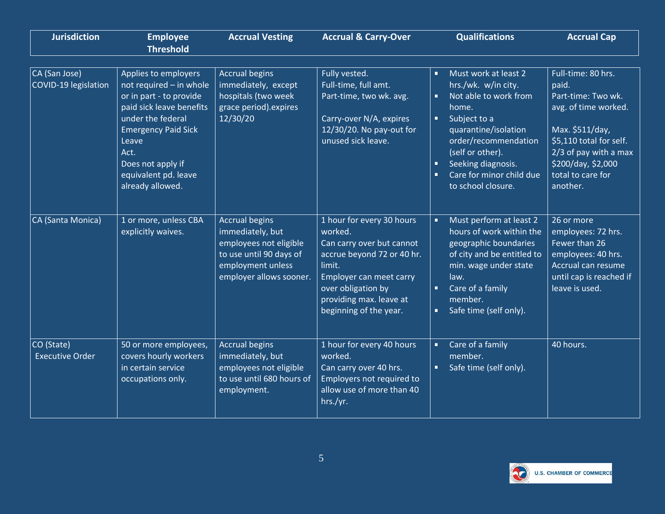| <b>Jurisdiction</b>                   | <b>Employee</b><br><b>Threshold</b>                                                                                                                                                                                                         | <b>Accrual Vesting</b>                                                                                                                         | <b>Accrual &amp; Carry-Over</b>                                                                                                                                                                                 | <b>Qualifications</b>                                                                                                                                                                                                                                         | <b>Accrual Cap</b>                                                                                                                                                                                      |
|---------------------------------------|---------------------------------------------------------------------------------------------------------------------------------------------------------------------------------------------------------------------------------------------|------------------------------------------------------------------------------------------------------------------------------------------------|-----------------------------------------------------------------------------------------------------------------------------------------------------------------------------------------------------------------|---------------------------------------------------------------------------------------------------------------------------------------------------------------------------------------------------------------------------------------------------------------|---------------------------------------------------------------------------------------------------------------------------------------------------------------------------------------------------------|
| CA (San Jose)<br>COVID-19 legislation | Applies to employers<br>not required - in whole<br>or in part - to provide<br>paid sick leave benefits<br>under the federal<br><b>Emergency Paid Sick</b><br>Leave<br>Act.<br>Does not apply if<br>equivalent pd. leave<br>already allowed. | <b>Accrual begins</b><br>immediately, except<br>hospitals (two week<br>grace period).expires<br>12/30/20                                       | Fully vested.<br>Full-time, full amt.<br>Part-time, two wk. avg.<br>Carry-over N/A, expires<br>12/30/20. No pay-out for<br>unused sick leave.                                                                   | Must work at least 2<br>п<br>hrs./wk. w/in city.<br>Not able to work from<br>home.<br>Subject to a<br>×<br>quarantine/isolation<br>order/recommendation<br>(self or other).<br>Seeking diagnosis.<br>п<br>Care for minor child due<br>п<br>to school closure. | Full-time: 80 hrs.<br>paid.<br>Part-time: Two wk.<br>avg. of time worked.<br>Max. \$511/day,<br>\$5,110 total for self.<br>2/3 of pay with a max<br>\$200/day, \$2,000<br>total to care for<br>another. |
| CA (Santa Monica)                     | 1 or more, unless CBA<br>explicitly waives.                                                                                                                                                                                                 | <b>Accrual begins</b><br>immediately, but<br>employees not eligible<br>to use until 90 days of<br>employment unless<br>employer allows sooner. | 1 hour for every 30 hours<br>worked.<br>Can carry over but cannot<br>accrue beyond 72 or 40 hr.<br>limit.<br>Employer can meet carry<br>over obligation by<br>providing max. leave at<br>beginning of the year. | Must perform at least 2<br>٠<br>hours of work within the<br>geographic boundaries<br>of city and be entitled to<br>min. wage under state<br>law.<br>Care of a family<br>п<br>member.<br>Safe time (self only).<br>٠                                           | 26 or more<br>employees: 72 hrs.<br>Fewer than 26<br>employees: 40 hrs.<br>Accrual can resume<br>until cap is reached if<br>leave is used.                                                              |
| CO (State)<br><b>Executive Order</b>  | 50 or more employees,<br>covers hourly workers<br>in certain service<br>occupations only.                                                                                                                                                   | <b>Accrual begins</b><br>immediately, but<br>employees not eligible<br>to use until 680 hours of<br>employment.                                | 1 hour for every 40 hours<br>worked.<br>Can carry over 40 hrs.<br>Employers not required to<br>allow use of more than 40<br>hrs./yr.                                                                            | Care of a family<br>п<br>member.<br>Safe time (self only).<br>п                                                                                                                                                                                               | 40 hours.                                                                                                                                                                                               |

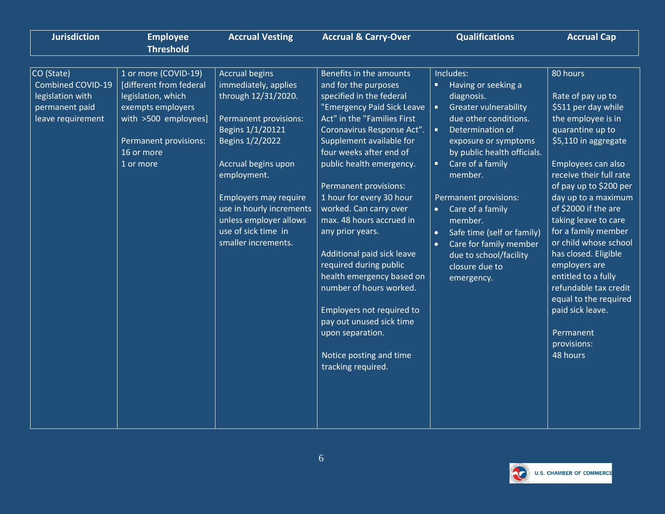| <b>Jurisdiction</b>                                                                               | <b>Employee</b>                                                                                                                                                               | <b>Accrual Vesting</b>                                                                                                                                                                                                                                                                                         | <b>Accrual &amp; Carry-Over</b>                                                                                                                                                                                                                                                                                                                                                                                                                                                                                                                                                                                                        | <b>Qualifications</b>                                                                                                                                                                                                                                                                                                                                                                                         | <b>Accrual Cap</b>                                                                                                                                                                                                                                                                                                                                                                                                                                                                                     |
|---------------------------------------------------------------------------------------------------|-------------------------------------------------------------------------------------------------------------------------------------------------------------------------------|----------------------------------------------------------------------------------------------------------------------------------------------------------------------------------------------------------------------------------------------------------------------------------------------------------------|----------------------------------------------------------------------------------------------------------------------------------------------------------------------------------------------------------------------------------------------------------------------------------------------------------------------------------------------------------------------------------------------------------------------------------------------------------------------------------------------------------------------------------------------------------------------------------------------------------------------------------------|---------------------------------------------------------------------------------------------------------------------------------------------------------------------------------------------------------------------------------------------------------------------------------------------------------------------------------------------------------------------------------------------------------------|--------------------------------------------------------------------------------------------------------------------------------------------------------------------------------------------------------------------------------------------------------------------------------------------------------------------------------------------------------------------------------------------------------------------------------------------------------------------------------------------------------|
|                                                                                                   | <b>Threshold</b>                                                                                                                                                              |                                                                                                                                                                                                                                                                                                                |                                                                                                                                                                                                                                                                                                                                                                                                                                                                                                                                                                                                                                        |                                                                                                                                                                                                                                                                                                                                                                                                               |                                                                                                                                                                                                                                                                                                                                                                                                                                                                                                        |
| CO (State)<br><b>Combined COVID-19</b><br>legislation with<br>permanent paid<br>leave requirement | 1 or more (COVID-19)<br><b>Idifferent from federal</b><br>legislation, which<br>exempts employers<br>with >500 employees]<br>Permanent provisions:<br>16 or more<br>1 or more | <b>Accrual begins</b><br>immediately, applies<br>through 12/31/2020.<br>Permanent provisions:<br>Begins 1/1/20121<br>Begins 1/2/2022<br>Accrual begins upon<br>employment.<br><b>Employers may require</b><br>use in hourly increments<br>unless employer allows<br>use of sick time in<br>smaller increments. | Benefits in the amounts<br>and for the purposes<br>specified in the federal<br>"Emergency Paid Sick Leave<br>Act" in the "Families First<br>Coronavirus Response Act".<br>Supplement available for<br>four weeks after end of<br>public health emergency.<br>Permanent provisions:<br>1 hour for every 30 hour<br>worked. Can carry over<br>max. 48 hours accrued in<br>any prior years.<br>Additional paid sick leave<br>required during public<br>health emergency based on<br>number of hours worked.<br>Employers not required to<br>pay out unused sick time<br>upon separation.<br>Notice posting and time<br>tracking required. | Includes:<br>Having or seeking a<br>diagnosis.<br><b>Greater vulnerability</b><br>$\blacksquare$<br>due other conditions.<br>Determination of<br>exposure or symptoms<br>by public health officials.<br>Care of a family<br>member.<br>Permanent provisions:<br>Care of a family<br>member.<br>Safe time (self or family)<br>Care for family member<br>due to school/facility<br>closure due to<br>emergency. | 80 hours<br>Rate of pay up to<br>\$511 per day while<br>the employee is in<br>quarantine up to<br>\$5,110 in aggregate<br>Employees can also<br>receive their full rate<br>of pay up to \$200 per<br>day up to a maximum<br>of \$2000 if the are<br>taking leave to care<br>for a family member<br>or child whose school<br>has closed. Eligible<br>employers are<br>entitled to a fully<br>refundable tax credit<br>equal to the required<br>paid sick leave.<br>Permanent<br>provisions:<br>48 hours |

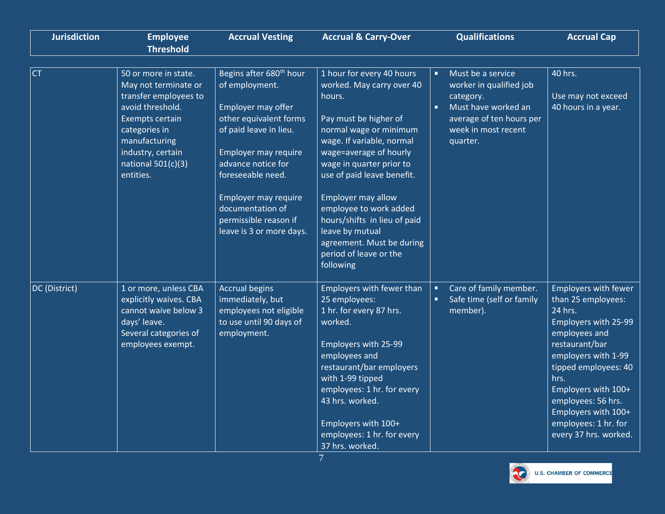| <b>Jurisdiction</b> | <b>Employee</b><br><b>Threshold</b>                                                                                                                                                                             | <b>Accrual Vesting</b>                                                                                                                                                                                                                                                                              | <b>Accrual &amp; Carry-Over</b>                                                                                                                                                                                                                                                                                                                                                                                    | <b>Qualifications</b>                                                                                                                                                               | <b>Accrual Cap</b>                                                                                                                                                                                                                                                                                  |
|---------------------|-----------------------------------------------------------------------------------------------------------------------------------------------------------------------------------------------------------------|-----------------------------------------------------------------------------------------------------------------------------------------------------------------------------------------------------------------------------------------------------------------------------------------------------|--------------------------------------------------------------------------------------------------------------------------------------------------------------------------------------------------------------------------------------------------------------------------------------------------------------------------------------------------------------------------------------------------------------------|-------------------------------------------------------------------------------------------------------------------------------------------------------------------------------------|-----------------------------------------------------------------------------------------------------------------------------------------------------------------------------------------------------------------------------------------------------------------------------------------------------|
| <b>CT</b>           | 50 or more in state.<br>May not terminate or<br>transfer employees to<br>avoid threshold.<br><b>Exempts certain</b><br>categories in<br>manufacturing<br>industry, certain<br>national $501(c)(3)$<br>entities. | Begins after 680 <sup>th</sup> hour<br>of employment.<br>Employer may offer<br>other equivalent forms<br>of paid leave in lieu.<br>Employer may require<br>advance notice for<br>foreseeable need.<br>Employer may require<br>documentation of<br>permissible reason if<br>leave is 3 or more days. | 1 hour for every 40 hours<br>worked. May carry over 40<br>hours.<br>Pay must be higher of<br>normal wage or minimum<br>wage. If variable, normal<br>wage=average of hourly<br>wage in quarter prior to<br>use of paid leave benefit.<br><b>Employer may allow</b><br>employee to work added<br>hours/shifts in lieu of paid<br>leave by mutual<br>agreement. Must be during<br>period of leave or the<br>following | Must be a service<br>$\blacksquare$<br>worker in qualified job<br>category.<br>$\blacksquare$<br>Must have worked an<br>average of ten hours per<br>week in most recent<br>quarter. | 40 hrs.<br>Use may not exceed<br>40 hours in a year.                                                                                                                                                                                                                                                |
| DC (District)       | 1 or more, unless CBA<br>explicitly waives. CBA<br>cannot waive below 3<br>days' leave.<br>Several categories of<br>employees exempt.                                                                           | <b>Accrual begins</b><br>immediately, but<br>employees not eligible<br>to use until 90 days of<br>employment.                                                                                                                                                                                       | Employers with fewer than<br>25 employees:<br>1 hr. for every 87 hrs.<br>worked.<br>Employers with 25-99<br>employees and<br>restaurant/bar employers<br>with 1-99 tipped<br>employees: 1 hr. for every<br>43 hrs. worked.<br>Employers with 100+<br>employees: 1 hr. for every<br>37 hrs. worked.                                                                                                                 | Care of family member.<br>$\blacksquare$<br>Safe time (self or family<br>o,<br>member).                                                                                             | <b>Employers with fewer</b><br>than 25 employees:<br>24 hrs.<br>Employers with 25-99<br>employees and<br>restaurant/bar<br>employers with 1-99<br>tipped employees: 40<br>hrs.<br>Employers with 100+<br>employees: 56 hrs.<br>Employers with 100+<br>employees: 1 hr. for<br>every 37 hrs. worked. |

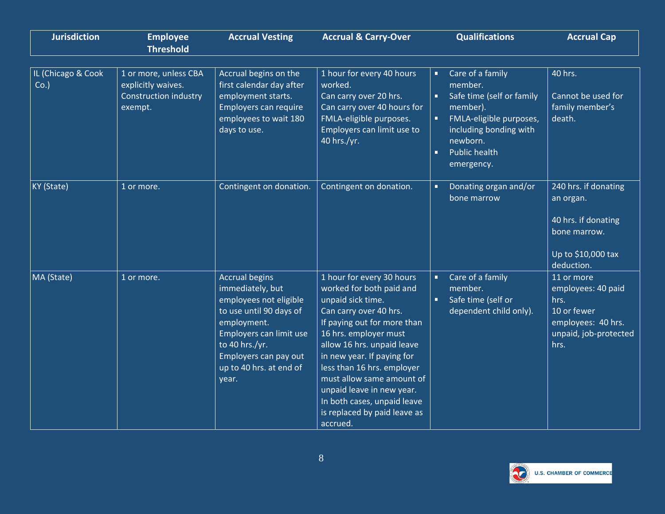| <b>Jurisdiction</b>       | <b>Employee</b><br><b>Threshold</b>                                                    | <b>Accrual Vesting</b>                                                                                                                                                                                                  | <b>Accrual &amp; Carry-Over</b>                                                                                                                                                                                                                                                                                                                                                             | <b>Qualifications</b>                                                                                                                                                                              | <b>Accrual Cap</b>                                                                                             |
|---------------------------|----------------------------------------------------------------------------------------|-------------------------------------------------------------------------------------------------------------------------------------------------------------------------------------------------------------------------|---------------------------------------------------------------------------------------------------------------------------------------------------------------------------------------------------------------------------------------------------------------------------------------------------------------------------------------------------------------------------------------------|----------------------------------------------------------------------------------------------------------------------------------------------------------------------------------------------------|----------------------------------------------------------------------------------------------------------------|
| IL (Chicago & Cook<br>Co. | 1 or more, unless CBA<br>explicitly waives.<br><b>Construction industry</b><br>exempt. | Accrual begins on the<br>first calendar day after<br>employment starts.<br>Employers can require<br>employees to wait 180<br>days to use.                                                                               | 1 hour for every 40 hours<br>worked.<br>Can carry over 20 hrs.<br>Can carry over 40 hours for<br>FMLA-eligible purposes.<br>Employers can limit use to<br>40 hrs./yr.                                                                                                                                                                                                                       | Care of a family<br>Ξ<br>member.<br>Safe time (self or family<br>member).<br>FMLA-eligible purposes,<br>including bonding with<br>newborn.<br><b>Public health</b><br>$\blacksquare$<br>emergency. | 40 hrs.<br>Cannot be used for<br>family member's<br>death.                                                     |
| KY (State)                | 1 or more.                                                                             | Contingent on donation.                                                                                                                                                                                                 | Contingent on donation.                                                                                                                                                                                                                                                                                                                                                                     | Donating organ and/or<br>п<br>bone marrow                                                                                                                                                          | 240 hrs. if donating<br>an organ.<br>40 hrs. if donating<br>bone marrow.<br>Up to \$10,000 tax<br>deduction.   |
| MA (State)                | 1 or more.                                                                             | <b>Accrual begins</b><br>immediately, but<br>employees not eligible<br>to use until 90 days of<br>employment.<br>Employers can limit use<br>to 40 hrs./yr.<br>Employers can pay out<br>up to 40 hrs. at end of<br>year. | 1 hour for every 30 hours<br>worked for both paid and<br>unpaid sick time.<br>Can carry over 40 hrs.<br>If paying out for more than<br>16 hrs. employer must<br>allow 16 hrs. unpaid leave<br>in new year. If paying for<br>less than 16 hrs. employer<br>must allow same amount of<br>unpaid leave in new year.<br>In both cases, unpaid leave<br>is replaced by paid leave as<br>accrued. | Care of a family<br>п<br>member.<br>Safe time (self or<br>o.<br>dependent child only).                                                                                                             | 11 or more<br>employees: 40 paid<br>hrs.<br>10 or fewer<br>employees: 40 hrs.<br>unpaid, job-protected<br>hrs. |

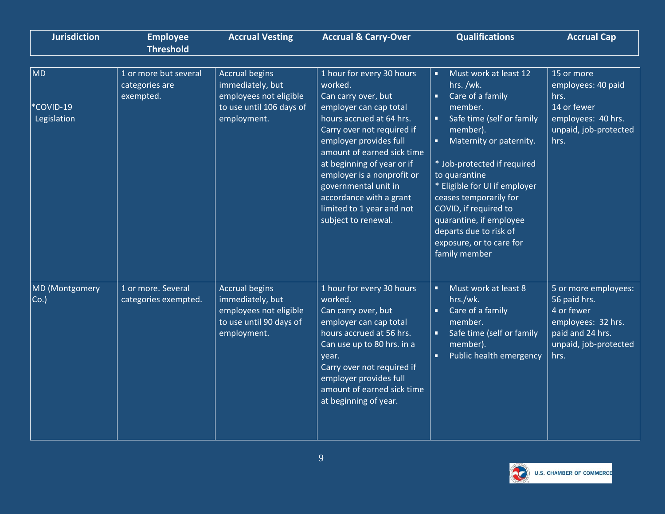| <b>Jurisdiction</b>                   | <b>Employee</b><br><b>Threshold</b>                  | <b>Accrual Vesting</b>                                                                                         | <b>Accrual &amp; Carry-Over</b>                                                                                                                                                                                                                                                                                                                                            | <b>Qualifications</b>                                                                                                                                                                                                                                                                                                                                                                                          | <b>Accrual Cap</b>                                                                                                            |
|---------------------------------------|------------------------------------------------------|----------------------------------------------------------------------------------------------------------------|----------------------------------------------------------------------------------------------------------------------------------------------------------------------------------------------------------------------------------------------------------------------------------------------------------------------------------------------------------------------------|----------------------------------------------------------------------------------------------------------------------------------------------------------------------------------------------------------------------------------------------------------------------------------------------------------------------------------------------------------------------------------------------------------------|-------------------------------------------------------------------------------------------------------------------------------|
| <b>MD</b><br>*COVID-19<br>Legislation | 1 or more but several<br>categories are<br>exempted. | <b>Accrual begins</b><br>immediately, but<br>employees not eligible<br>to use until 106 days of<br>employment. | 1 hour for every 30 hours<br>worked.<br>Can carry over, but<br>employer can cap total<br>hours accrued at 64 hrs.<br>Carry over not required if<br>employer provides full<br>amount of earned sick time<br>at beginning of year or if<br>employer is a nonprofit or<br>governmental unit in<br>accordance with a grant<br>limited to 1 year and not<br>subject to renewal. | Must work at least 12<br>$\blacksquare$<br>hrs./wk.<br>Care of a family<br>$\blacksquare$<br>member.<br>Safe time (self or family<br>member).<br>Maternity or paternity.<br>* Job-protected if required<br>to quarantine<br>* Eligible for UI if employer<br>ceases temporarily for<br>COVID, if required to<br>quarantine, if employee<br>departs due to risk of<br>exposure, or to care for<br>family member | 15 or more<br>employees: 40 paid<br>hrs.<br>14 or fewer<br>employees: 40 hrs.<br>unpaid, job-protected<br>hrs.                |
| <b>MD</b> (Montgomery<br>Co.          | 1 or more. Several<br>categories exempted.           | <b>Accrual begins</b><br>immediately, but<br>employees not eligible<br>to use until 90 days of<br>employment.  | 1 hour for every 30 hours<br>worked.<br>Can carry over, but<br>employer can cap total<br>hours accrued at 56 hrs.<br>Can use up to 80 hrs. in a<br>year.<br>Carry over not required if<br>employer provides full<br>amount of earned sick time<br>at beginning of year.                                                                                                    | Must work at least 8<br>$\blacksquare$<br>hrs./wk.<br>Care of a family<br>$\blacksquare$<br>member.<br>Safe time (self or family<br>member).<br>Public health emergency<br>$\blacksquare$                                                                                                                                                                                                                      | 5 or more employees:<br>56 paid hrs.<br>4 or fewer<br>employees: 32 hrs.<br>paid and 24 hrs.<br>unpaid, job-protected<br>hrs. |

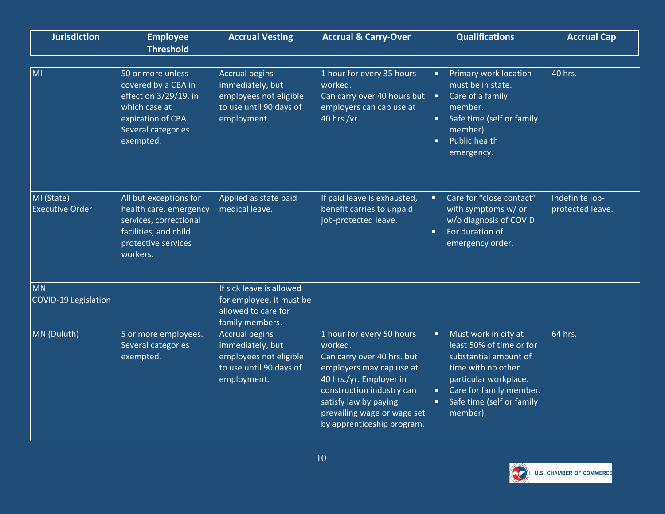| <b>Jurisdiction</b>                  | <b>Employee</b><br><b>Threshold</b>                                                                                                         | <b>Accrual Vesting</b>                                                                                        | <b>Accrual &amp; Carry-Over</b>                                                                                                                                                                                                              | <b>Qualifications</b>                                                                                                                                                                             | <b>Accrual Cap</b>                  |
|--------------------------------------|---------------------------------------------------------------------------------------------------------------------------------------------|---------------------------------------------------------------------------------------------------------------|----------------------------------------------------------------------------------------------------------------------------------------------------------------------------------------------------------------------------------------------|---------------------------------------------------------------------------------------------------------------------------------------------------------------------------------------------------|-------------------------------------|
| MI                                   | 50 or more unless<br>covered by a CBA in<br>effect on 3/29/19, in<br>which case at<br>expiration of CBA.<br>Several categories<br>exempted. | <b>Accrual begins</b><br>immediately, but<br>employees not eligible<br>to use until 90 days of<br>employment. | 1 hour for every 35 hours<br>worked.<br>Can carry over 40 hours but<br>employers can cap use at<br>40 hrs./yr.                                                                                                                               | Primary work location<br>п<br>must be in state.<br>Care of a family<br>member.<br>Safe time (self or family<br>member).<br><b>Public health</b><br>п<br>emergency.                                | 40 hrs.                             |
| MI (State)<br><b>Executive Order</b> | All but exceptions for<br>health care, emergency<br>services, correctional<br>facilities, and child<br>protective services<br>workers.      | Applied as state paid<br>medical leave.                                                                       | If paid leave is exhausted,<br>benefit carries to unpaid<br>job-protected leave.                                                                                                                                                             | Care for "close contact"<br>with symptoms w/ or<br>w/o diagnosis of COVID.<br>For duration of<br>emergency order.                                                                                 | Indefinite job-<br>protected leave. |
| <b>MN</b><br>COVID-19 Legislation    |                                                                                                                                             | If sick leave is allowed<br>for employee, it must be<br>allowed to care for<br>family members.                |                                                                                                                                                                                                                                              |                                                                                                                                                                                                   |                                     |
| MN (Duluth)                          | 5 or more employees.<br>Several categories<br>exempted.                                                                                     | <b>Accrual begins</b><br>immediately, but<br>employees not eligible<br>to use until 90 days of<br>employment. | 1 hour for every 50 hours<br>worked.<br>Can carry over 40 hrs. but<br>employers may cap use at<br>40 hrs./yr. Employer in<br>construction industry can<br>satisfy law by paying<br>prevailing wage or wage set<br>by apprenticeship program. | Must work in city at<br>л<br>least 50% of time or for<br>substantial amount of<br>time with no other<br>particular workplace.<br>Care for family member.<br>Safe time (self or family<br>member). | 64 hrs.                             |

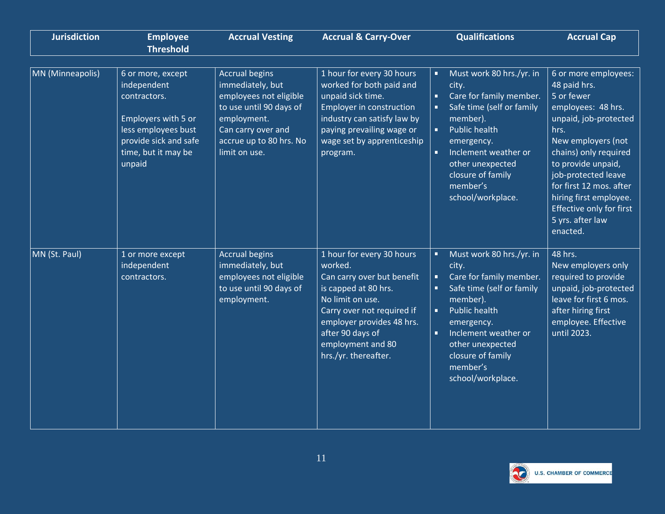| <b>Jurisdiction</b> | <b>Employee</b><br><b>Threshold</b>                                                                                                                      | <b>Accrual Vesting</b>                                                                                                                                                          | <b>Accrual &amp; Carry-Over</b>                                                                                                                                                                                                            | <b>Qualifications</b>                                                                                                                                                                                                                                                           | <b>Accrual Cap</b>                                                                                                                                                                                                                                                                                                     |
|---------------------|----------------------------------------------------------------------------------------------------------------------------------------------------------|---------------------------------------------------------------------------------------------------------------------------------------------------------------------------------|--------------------------------------------------------------------------------------------------------------------------------------------------------------------------------------------------------------------------------------------|---------------------------------------------------------------------------------------------------------------------------------------------------------------------------------------------------------------------------------------------------------------------------------|------------------------------------------------------------------------------------------------------------------------------------------------------------------------------------------------------------------------------------------------------------------------------------------------------------------------|
| MN (Minneapolis)    | 6 or more, except<br>independent<br>contractors.<br>Employers with 5 or<br>less employees bust<br>provide sick and safe<br>time, but it may be<br>unpaid | <b>Accrual begins</b><br>immediately, but<br>employees not eligible<br>to use until 90 days of<br>employment.<br>Can carry over and<br>accrue up to 80 hrs. No<br>limit on use. | 1 hour for every 30 hours<br>worked for both paid and<br>unpaid sick time.<br>Employer in construction<br>industry can satisfy law by<br>paying prevailing wage or<br>wage set by apprenticeship<br>program.                               | Must work 80 hrs./yr. in<br>Ξ<br>city.<br>Care for family member.<br>ä,<br>Safe time (self or family<br>member).<br><b>Public health</b><br>$\blacksquare$<br>emergency.<br>Inclement weather or<br>п<br>other unexpected<br>closure of family<br>member's<br>school/workplace. | 6 or more employees:<br>48 paid hrs.<br>5 or fewer<br>employees: 48 hrs.<br>unpaid, job-protected<br>hrs.<br>New employers (not<br>chains) only required<br>to provide unpaid,<br>job-protected leave<br>for first 12 mos. after<br>hiring first employee.<br>Effective only for first<br>5 yrs. after law<br>enacted. |
| MN (St. Paul)       | 1 or more except<br>independent<br>contractors.                                                                                                          | <b>Accrual begins</b><br>immediately, but<br>employees not eligible<br>to use until 90 days of<br>employment.                                                                   | 1 hour for every 30 hours<br>worked.<br>Can carry over but benefit<br>is capped at 80 hrs.<br>No limit on use.<br>Carry over not required if<br>employer provides 48 hrs.<br>after 90 days of<br>employment and 80<br>hrs./yr. thereafter. | Must work 80 hrs./yr. in<br>٠<br>city.<br>Care for family member.<br>٠<br>Safe time (self or family<br>member).<br><b>Public health</b><br>п<br>emergency.<br>Inclement weather or<br>$\blacksquare$<br>other unexpected<br>closure of family<br>member's<br>school/workplace.  | 48 hrs.<br>New employers only<br>required to provide<br>unpaid, job-protected<br>leave for first 6 mos.<br>after hiring first<br>employee. Effective<br>until 2023.                                                                                                                                                    |

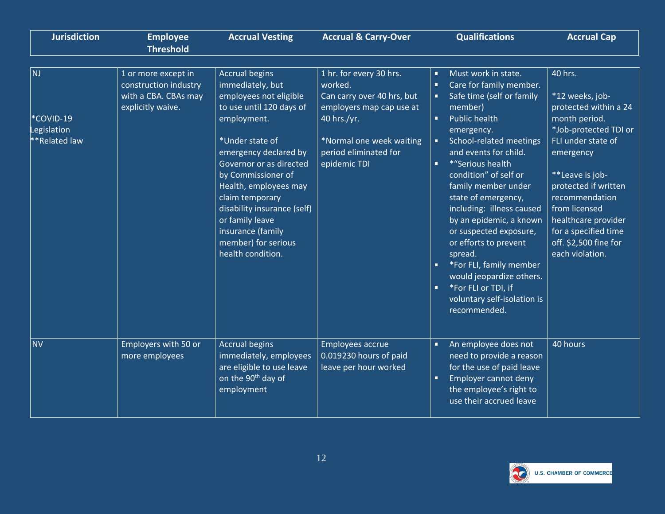| <b>Jurisdiction</b>                           | <b>Employee</b><br><b>Threshold</b>                                                       | <b>Accrual Vesting</b>                                                                                                                                                                                                                                                                                                                                                     | <b>Accrual &amp; Carry-Over</b>                                                                                                                                                  | <b>Qualifications</b>                                                                                                                                                                                                                                                                                                                                                                                                                                                                                                                                                                                                   | <b>Accrual Cap</b>                                                                                                                                                                                                                                                                                        |
|-----------------------------------------------|-------------------------------------------------------------------------------------------|----------------------------------------------------------------------------------------------------------------------------------------------------------------------------------------------------------------------------------------------------------------------------------------------------------------------------------------------------------------------------|----------------------------------------------------------------------------------------------------------------------------------------------------------------------------------|-------------------------------------------------------------------------------------------------------------------------------------------------------------------------------------------------------------------------------------------------------------------------------------------------------------------------------------------------------------------------------------------------------------------------------------------------------------------------------------------------------------------------------------------------------------------------------------------------------------------------|-----------------------------------------------------------------------------------------------------------------------------------------------------------------------------------------------------------------------------------------------------------------------------------------------------------|
| NJ<br>*COVID-19<br>egislation<br>*Related law | 1 or more except in<br>construction industry<br>with a CBA. CBAs may<br>explicitly waive. | <b>Accrual begins</b><br>immediately, but<br>employees not eligible<br>to use until 120 days of<br>employment.<br>*Under state of<br>emergency declared by<br>Governor or as directed<br>by Commissioner of<br>Health, employees may<br>claim temporary<br>disability insurance (self)<br>or family leave<br>insurance (family<br>member) for serious<br>health condition. | 1 hr. for every 30 hrs.<br>worked.<br>Can carry over 40 hrs, but<br>employers map cap use at<br>40 hrs./yr.<br>*Normal one week waiting<br>period eliminated for<br>epidemic TDI | Must work in state.<br>×.<br>Care for family member.<br>$\blacksquare$<br>Safe time (self or family<br>member)<br><b>Public health</b><br>$\blacksquare$<br>emergency.<br>School-related meetings<br>п<br>and events for child.<br>*"Serious health<br>$\blacksquare$<br>condition" of self or<br>family member under<br>state of emergency,<br>including: illness caused<br>by an epidemic, a known<br>or suspected exposure,<br>or efforts to prevent<br>spread.<br>o.<br>*For FLI, family member<br>would jeopardize others.<br>*For FLI or TDI, if<br>$\blacksquare$<br>voluntary self-isolation is<br>recommended. | 40 hrs.<br>*12 weeks, job-<br>protected within a 24<br>month period.<br>*Job-protected TDI or<br>FLI under state of<br>emergency<br>**Leave is job-<br>protected if written<br>recommendation<br>from licensed<br>healthcare provider<br>for a specified time<br>off. \$2,500 fine for<br>each violation. |
| <b>NV</b>                                     | Employers with 50 or<br>more employees                                                    | <b>Accrual begins</b><br>immediately, employees<br>are eligible to use leave<br>on the 90 <sup>th</sup> day of<br>employment                                                                                                                                                                                                                                               | Employees accrue<br>0.019230 hours of paid<br>leave per hour worked                                                                                                              | An employee does not<br>$\blacksquare$<br>need to provide a reason<br>for the use of paid leave<br>Employer cannot deny<br>$\blacksquare$<br>the employee's right to<br>use their accrued leave                                                                                                                                                                                                                                                                                                                                                                                                                         | 40 hours                                                                                                                                                                                                                                                                                                  |

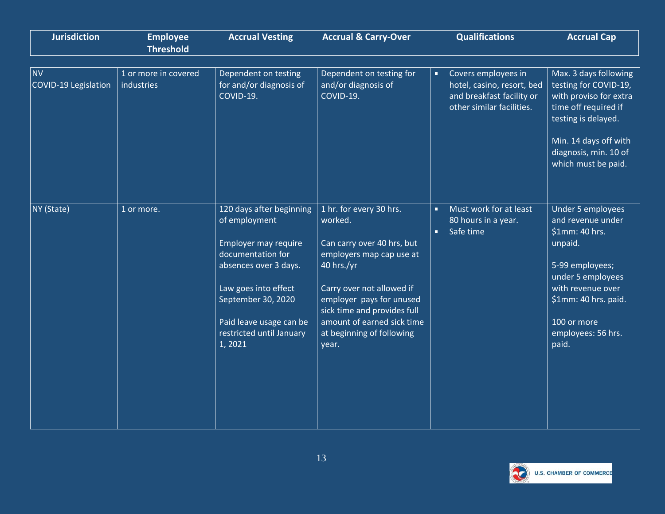| <b>Jurisdiction</b>               | <b>Employee</b><br><b>Threshold</b> | <b>Accrual Vesting</b>                                                                                                                                                                                                         | <b>Accrual &amp; Carry-Over</b>                                                                                                                                                                                                                                        | <b>Qualifications</b>                                                                                            | <b>Accrual Cap</b>                                                                                                                                                                                            |
|-----------------------------------|-------------------------------------|--------------------------------------------------------------------------------------------------------------------------------------------------------------------------------------------------------------------------------|------------------------------------------------------------------------------------------------------------------------------------------------------------------------------------------------------------------------------------------------------------------------|------------------------------------------------------------------------------------------------------------------|---------------------------------------------------------------------------------------------------------------------------------------------------------------------------------------------------------------|
| <b>NV</b><br>COVID-19 Legislation | 1 or more in covered<br>industries  | Dependent on testing<br>for and/or diagnosis of<br>COVID-19.                                                                                                                                                                   | Dependent on testing for<br>and/or diagnosis of<br>COVID-19.                                                                                                                                                                                                           | Covers employees in<br>٠<br>hotel, casino, resort, bed<br>and breakfast facility or<br>other similar facilities. | Max. 3 days following<br>testing for COVID-19,<br>with proviso for extra<br>time off required if<br>testing is delayed.<br>Min. 14 days off with<br>diagnosis, min. 10 of<br>which must be paid.              |
| NY (State)                        | 1 or more.                          | 120 days after beginning<br>of employment<br>Employer may require<br>documentation for<br>absences over 3 days.<br>Law goes into effect<br>September 30, 2020<br>Paid leave usage can be<br>restricted until January<br>1,2021 | 1 hr. for every 30 hrs.<br>worked.<br>Can carry over 40 hrs, but<br>employers map cap use at<br>40 hrs./yr<br>Carry over not allowed if<br>employer pays for unused<br>sick time and provides full<br>amount of earned sick time<br>at beginning of following<br>year. | Must work for at least<br>п<br>80 hours in a year.<br>Safe time<br>ú,                                            | <b>Under 5 employees</b><br>and revenue under<br>\$1mm: 40 hrs.<br>unpaid.<br>5-99 employees;<br>under 5 employees<br>with revenue over<br>\$1mm: 40 hrs. paid.<br>100 or more<br>employees: 56 hrs.<br>paid. |

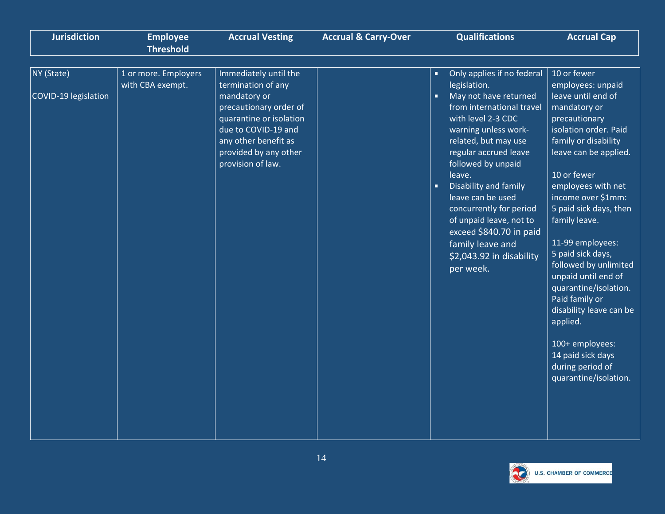| <b>Jurisdiction</b>  | <b>Employee</b><br><b>Threshold</b>      | <b>Accrual Vesting</b>                                                                                                                                         | <b>Accrual &amp; Carry-Over</b> | <b>Qualifications</b>                                                                                                                                                                                                                                                                                                                                                                                             | <b>Accrual Cap</b>                                                                                                                                                                                                                                                                                                                                                                                                                                                                                  |
|----------------------|------------------------------------------|----------------------------------------------------------------------------------------------------------------------------------------------------------------|---------------------------------|-------------------------------------------------------------------------------------------------------------------------------------------------------------------------------------------------------------------------------------------------------------------------------------------------------------------------------------------------------------------------------------------------------------------|-----------------------------------------------------------------------------------------------------------------------------------------------------------------------------------------------------------------------------------------------------------------------------------------------------------------------------------------------------------------------------------------------------------------------------------------------------------------------------------------------------|
|                      |                                          |                                                                                                                                                                |                                 |                                                                                                                                                                                                                                                                                                                                                                                                                   |                                                                                                                                                                                                                                                                                                                                                                                                                                                                                                     |
| NY (State)           | 1 or more. Employers<br>with CBA exempt. | Immediately until the<br>termination of any                                                                                                                    |                                 | Only applies if no federal<br>$\blacksquare$<br>legislation.                                                                                                                                                                                                                                                                                                                                                      | 10 or fewer<br>employees: unpaid                                                                                                                                                                                                                                                                                                                                                                                                                                                                    |
| COVID-19 legislation |                                          | mandatory or<br>precautionary order of<br>quarantine or isolation<br>due to COVID-19 and<br>any other benefit as<br>provided by any other<br>provision of law. |                                 | May not have returned<br>$\blacksquare$<br>from international travel<br>with level 2-3 CDC<br>warning unless work-<br>related, but may use<br>regular accrued leave<br>followed by unpaid<br>leave.<br>Disability and family<br>$\blacksquare$<br>leave can be used<br>concurrently for period<br>of unpaid leave, not to<br>exceed \$840.70 in paid<br>family leave and<br>\$2,043.92 in disability<br>per week. | leave until end of<br>mandatory or<br>precautionary<br>isolation order. Paid<br>family or disability<br>leave can be applied.<br>10 or fewer<br>employees with net<br>income over \$1mm:<br>5 paid sick days, then<br>family leave.<br>11-99 employees:<br>5 paid sick days,<br>followed by unlimited<br>unpaid until end of<br>quarantine/isolation.<br>Paid family or<br>disability leave can be<br>applied.<br>100+ employees:<br>14 paid sick days<br>during period of<br>quarantine/isolation. |

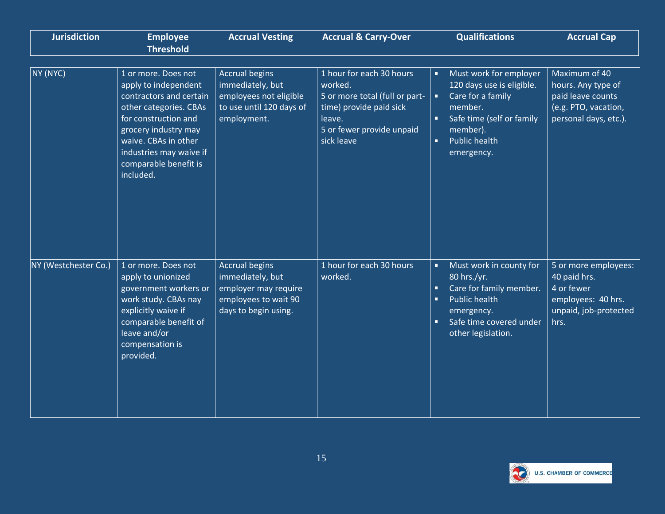| <b>Jurisdiction</b>  | <b>Employee</b><br><b>Threshold</b>                                                                                                                                                                                                       | <b>Accrual Vesting</b>                                                                                            | <b>Accrual &amp; Carry-Over</b>                                                                                                                       | <b>Qualifications</b>                                                                                                                                                                                                | <b>Accrual Cap</b>                                                                                        |
|----------------------|-------------------------------------------------------------------------------------------------------------------------------------------------------------------------------------------------------------------------------------------|-------------------------------------------------------------------------------------------------------------------|-------------------------------------------------------------------------------------------------------------------------------------------------------|----------------------------------------------------------------------------------------------------------------------------------------------------------------------------------------------------------------------|-----------------------------------------------------------------------------------------------------------|
| NY (NYC)             | 1 or more. Does not<br>apply to independent<br>contractors and certain<br>other categories. CBAs<br>for construction and<br>grocery industry may<br>waive. CBAs in other<br>industries may waive if<br>comparable benefit is<br>included. | <b>Accrual begins</b><br>immediately, but<br>employees not eligible<br>to use until 120 days of<br>employment.    | 1 hour for each 30 hours<br>worked.<br>5 or more total (full or part-<br>time) provide paid sick<br>leave.<br>5 or fewer provide unpaid<br>sick leave | Must work for employer<br>п<br>120 days use is eligible.<br>Care for a family<br>member.<br>Safe time (self or family<br>п<br>member).<br>ú.<br><b>Public health</b><br>emergency.                                   | Maximum of 40<br>hours. Any type of<br>paid leave counts<br>(e.g. PTO, vacation,<br>personal days, etc.). |
| NY (Westchester Co.) | 1 or more. Does not<br>apply to unionized<br>government workers or<br>work study. CBAs nay<br>explicitly waive if<br>comparable benefit of<br>leave and/or<br>compensation is<br>provided.                                                | <b>Accrual begins</b><br>immediately, but<br>employer may require<br>employees to wait 90<br>days to begin using. | 1 hour for each 30 hours<br>worked.                                                                                                                   | Must work in county for<br>a,<br>80 hrs./yr.<br>Care for family member.<br>$\blacksquare$<br><b>Public health</b><br>$\blacksquare$<br>emergency.<br>Safe time covered under<br>$\blacksquare$<br>other legislation. | 5 or more employees:<br>40 paid hrs.<br>4 or fewer<br>employees: 40 hrs.<br>unpaid, job-protected<br>hrs. |

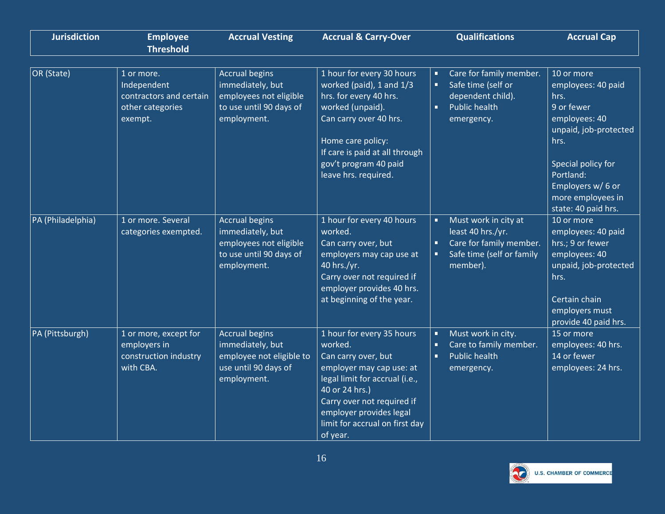| <b>Jurisdiction</b> | <b>Employee</b><br><b>Threshold</b>                                                 | <b>Accrual Vesting</b>                                                                                        | <b>Accrual &amp; Carry-Over</b>                                                                                                                                                                                                                    | <b>Qualifications</b>                                                                                                                | <b>Accrual Cap</b>                                                                                                                                                                                           |
|---------------------|-------------------------------------------------------------------------------------|---------------------------------------------------------------------------------------------------------------|----------------------------------------------------------------------------------------------------------------------------------------------------------------------------------------------------------------------------------------------------|--------------------------------------------------------------------------------------------------------------------------------------|--------------------------------------------------------------------------------------------------------------------------------------------------------------------------------------------------------------|
| OR (State)          | 1 or more.<br>Independent<br>contractors and certain<br>other categories<br>exempt. | <b>Accrual begins</b><br>immediately, but<br>employees not eligible<br>to use until 90 days of<br>employment. | 1 hour for every 30 hours<br>worked (paid), 1 and 1/3<br>hrs. for every 40 hrs.<br>worked (unpaid).<br>Can carry over 40 hrs.<br>Home care policy:<br>If care is paid at all through<br>gov't program 40 paid<br>leave hrs. required.              | Care for family member.<br>п<br>Safe time (self or<br>п<br>dependent child).<br><b>Public health</b><br>$\blacksquare$<br>emergency. | 10 or more<br>employees: 40 paid<br>hrs.<br>9 or fewer<br>employees: 40<br>unpaid, job-protected<br>hrs.<br>Special policy for<br>Portland:<br>Employers w/ 6 or<br>more employees in<br>state: 40 paid hrs. |
| PA (Philadelphia)   | 1 or more. Several<br>categories exempted.                                          | <b>Accrual begins</b><br>immediately, but<br>employees not eligible<br>to use until 90 days of<br>employment. | 1 hour for every 40 hours<br>worked.<br>Can carry over, but<br>employers may cap use at<br>40 hrs./yr.<br>Carry over not required if<br>employer provides 40 hrs.<br>at beginning of the year.                                                     | Must work in city at<br>п<br>least 40 hrs./yr.<br>Care for family member.<br>п<br>Safe time (self or family<br>member).              | 10 or more<br>employees: 40 paid<br>hrs.; 9 or fewer<br>employees: 40<br>unpaid, job-protected<br>hrs.<br>Certain chain<br>employers must<br>provide 40 paid hrs.                                            |
| PA (Pittsburgh)     | 1 or more, except for<br>employers in<br>construction industry<br>with CBA.         | <b>Accrual begins</b><br>immediately, but<br>employee not eligible to<br>use until 90 days of<br>employment.  | 1 hour for every 35 hours<br>worked.<br>Can carry over, but<br>employer may cap use: at<br>legal limit for accrual (i.e.,<br>40 or 24 hrs.)<br>Carry over not required if<br>employer provides legal<br>limit for accrual on first day<br>of year. | Must work in city.<br>$\blacksquare$<br>Care to family member.<br><b>Public health</b><br>$\blacksquare$<br>emergency.               | 15 or more<br>employees: 40 hrs.<br>14 or fewer<br>employees: 24 hrs.                                                                                                                                        |

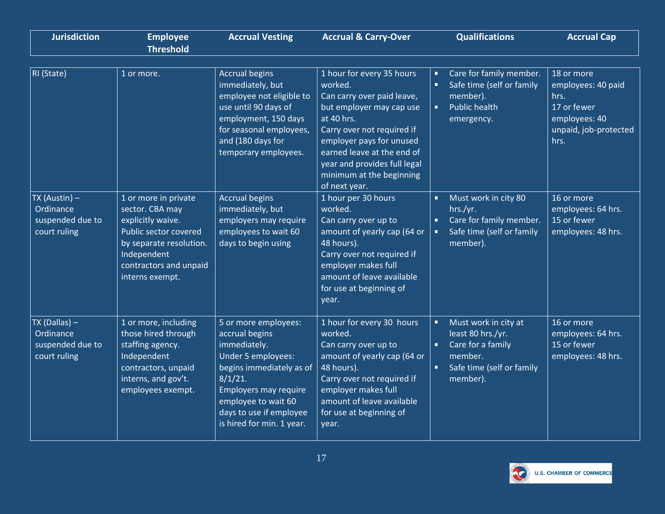| <b>Jurisdiction</b>                                                | <b>Employee</b><br><b>Threshold</b>                                                                                                                                          | <b>Accrual Vesting</b>                                                                                                                                                                                                         | <b>Accrual &amp; Carry-Over</b>                                                                                                                                                                                                                                                   | <b>Qualifications</b>                                                                                                        | <b>Accrual Cap</b>                                                                                        |
|--------------------------------------------------------------------|------------------------------------------------------------------------------------------------------------------------------------------------------------------------------|--------------------------------------------------------------------------------------------------------------------------------------------------------------------------------------------------------------------------------|-----------------------------------------------------------------------------------------------------------------------------------------------------------------------------------------------------------------------------------------------------------------------------------|------------------------------------------------------------------------------------------------------------------------------|-----------------------------------------------------------------------------------------------------------|
| RI (State)                                                         | 1 or more.                                                                                                                                                                   | <b>Accrual begins</b><br>immediately, but<br>employee not eligible to<br>use until 90 days of<br>employment, 150 days<br>for seasonal employees,<br>and (180 days for<br>temporary employees.                                  | 1 hour for every 35 hours<br>worked.<br>Can carry over paid leave,<br>but employer may cap use<br>at 40 hrs.<br>Carry over not required if<br>employer pays for unused<br>earned leave at the end of<br>year and provides full legal<br>minimum at the beginning<br>of next year. | Care for family member.<br>п<br>Safe time (self or family<br>٠<br>member).<br><b>Public health</b><br>n,<br>emergency.       | 18 or more<br>employees: 40 paid<br>hrs.<br>17 or fewer<br>employees: 40<br>unpaid, job-protected<br>hrs. |
| $TX$ (Austin) $-$<br>Ordinance<br>suspended due to<br>court ruling | 1 or more in private<br>sector. CBA may<br>explicitly waive.<br>Public sector covered<br>by separate resolution.<br>Independent<br>contractors and unpaid<br>interns exempt. | <b>Accrual begins</b><br>immediately, but<br>employers may require<br>employees to wait 60<br>days to begin using                                                                                                              | 1 hour per 30 hours<br>worked.<br>Can carry over up to<br>amount of yearly cap (64 or<br>48 hours).<br>Carry over not required if<br>employer makes full<br>amount of leave available<br>for use at beginning of<br>year.                                                         | Must work in city 80<br>п<br>hrs./yr.<br>Care for family member.<br>Safe time (self or family<br>member).                    | 16 or more<br>employees: 64 hrs.<br>15 or fewer<br>employees: 48 hrs.                                     |
| $TX$ (Dallas) $-$<br>Ordinance<br>suspended due to<br>court ruling | 1 or more, including<br>those hired through<br>staffing agency.<br>Independent<br>contractors, unpaid<br>interns, and gov't.<br>employees exempt.                            | 5 or more employees:<br>accrual begins<br>immediately.<br>Under 5 employees:<br>begins immediately as of<br>$8/1/21$ .<br>Employers may require<br>employee to wait 60<br>days to use if employee<br>is hired for min. 1 year. | 1 hour for every 30 hours<br>worked.<br>Can carry over up to<br>amount of yearly cap (64 or<br>48 hours).<br>Carry over not required if<br>employer makes full<br>amount of leave available<br>for use at beginning of<br>year.                                                   | Must work in city at<br>٠<br>least 80 hrs./yr.<br>Ξ<br>Care for a family<br>member.<br>Safe time (self or family<br>member). | 16 or more<br>employees: 64 hrs.<br>15 or fewer<br>employees: 48 hrs.                                     |

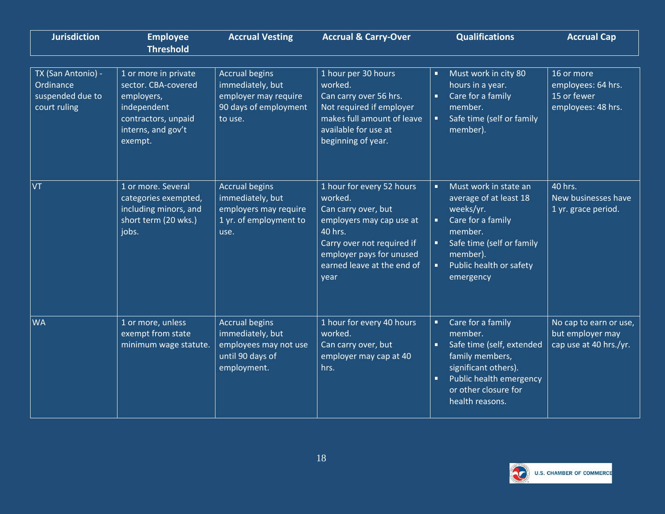| <b>Jurisdiction</b>                                                 | <b>Employee</b><br><b>Threshold</b>                                                                                              | <b>Accrual Vesting</b>                                                                                | <b>Accrual &amp; Carry-Over</b>                                                                                                                                                                    | <b>Qualifications</b>                                                                                                                                                                                                            | <b>Accrual Cap</b>                                                    |
|---------------------------------------------------------------------|----------------------------------------------------------------------------------------------------------------------------------|-------------------------------------------------------------------------------------------------------|----------------------------------------------------------------------------------------------------------------------------------------------------------------------------------------------------|----------------------------------------------------------------------------------------------------------------------------------------------------------------------------------------------------------------------------------|-----------------------------------------------------------------------|
| TX (San Antonio) -<br>Ordinance<br>suspended due to<br>court ruling | 1 or more in private<br>sector. CBA-covered<br>employers,<br>independent<br>contractors, unpaid<br>interns, and gov't<br>exempt. | <b>Accrual begins</b><br>immediately, but<br>employer may require<br>90 days of employment<br>to use. | 1 hour per 30 hours<br>worked.<br>Can carry over 56 hrs.<br>Not required if employer<br>makes full amount of leave<br>available for use at<br>beginning of year.                                   | Must work in city 80<br>п<br>hours in a year.<br>Care for a family<br>$\blacksquare$<br>member.<br>Safe time (self or family<br>$\blacksquare$<br>member).                                                                       | 16 or more<br>employees: 64 hrs.<br>15 or fewer<br>employees: 48 hrs. |
| VT                                                                  | 1 or more. Several<br>categories exempted,<br>including minors, and<br>short term (20 wks.)<br>jobs.                             | <b>Accrual begins</b><br>immediately, but<br>employers may require<br>1 yr. of employment to<br>use.  | 1 hour for every 52 hours<br>worked.<br>Can carry over, but<br>employers may cap use at<br>40 hrs.<br>Carry over not required if<br>employer pays for unused<br>earned leave at the end of<br>year | Must work in state an<br>×.<br>average of at least 18<br>weeks/yr.<br>Care for a family<br>member.<br>Safe time (self or family<br>$\blacksquare$<br>member).<br>Public health or safety<br>ú,<br>emergency                      | 40 hrs.<br>New businesses have<br>1 yr. grace period.                 |
| <b>WA</b>                                                           | 1 or more, unless<br>exempt from state<br>minimum wage statute.                                                                  | <b>Accrual begins</b><br>immediately, but<br>employees may not use<br>until 90 days of<br>employment. | 1 hour for every 40 hours<br>worked.<br>Can carry over, but<br>employer may cap at 40<br>hrs.                                                                                                      | Care for a family<br>$\blacksquare$<br>member.<br>Safe time (self, extended<br>$\blacksquare$<br>family members,<br>significant others).<br>Public health emergency<br>$\blacksquare$<br>or other closure for<br>health reasons. | No cap to earn or use,<br>but employer may<br>cap use at 40 hrs./yr.  |